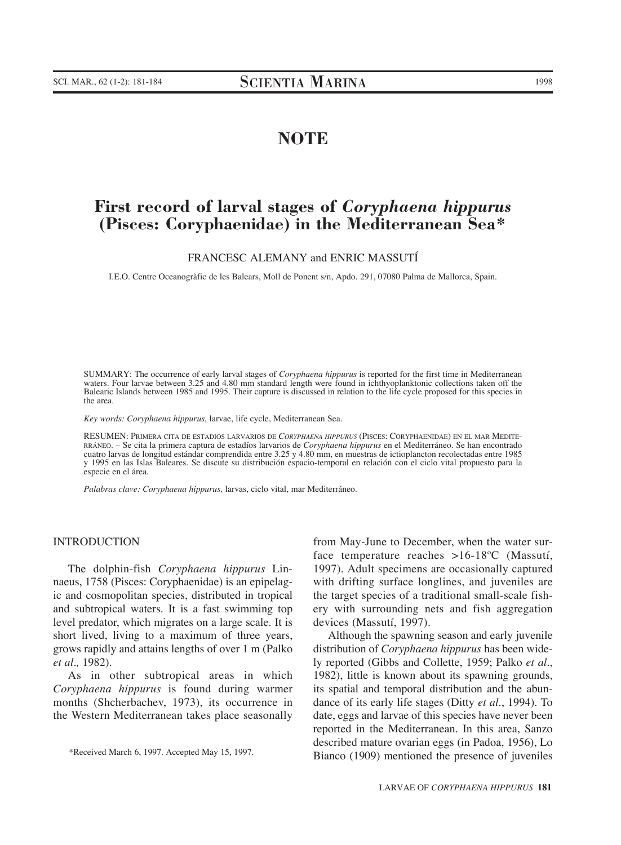## **NOTE**

# **First record of larval stages of** *Coryphaena hippurus* **(Pisces: Coryphaenidae) in the Mediterranean Sea\***

FRANCESC ALEMANY and ENRIC MASSUTÍ

I.E.O. Centre Oceanogràfic de les Balears, Moll de Ponent s/n, Apdo. 291, 07080 Palma de Mallorca, Spain.

SUMMARY: The occurrence of early larval stages of *Coryphaena hippurus* is reported for the first time in Mediterranean waters. Four larvae between 3.25 and 4.80 mm standard length were found in ichthyoplanktonic collections taken off the Balearic Islands between 1985 and 1995. Their capture is discussed in relation to the life cycle proposed for this species in the area.

*Key words: Coryphaena hippurus,* larvae, life cycle, Mediterranean Sea.

RESUMEN: PRIMERA CITA DE ESTADIOS LARVARIOS DE *CORYPHAENA HIPPURUS* (PISCES: CORYPHAENIDAE) EN EL MAR MEDITE-RRÁNEO. – Se cita la primera captura de estadíos larvarios de *Coryphaena hippurus* en el Mediterráneo. Se han encontrado cuatro larvas de longitud estándar comprendida entre 3.25 y 4.80 mm, en muestras de ictioplancton recolectadas entre 1985 y 1995 en las Islas Baleares. Se discute su distribución espacio-temporal en relación con el ciclo vital propuesto para la especie en el área.

*Palabras clave: Coryphaena hippurus,* larvas, ciclo vital, mar Mediterráneo.

## INTRODUCTION

The dolphin-fish *Coryphaena hippurus* Linnaeus, 1758 (Pisces: Coryphaenidae) is an epipelagic and cosmopolitan species, distributed in tropical and subtropical waters. It is a fast swimming top level predator, which migrates on a large scale. It is short lived, living to a maximum of three years, grows rapidly and attains lengths of over 1 m (Palko *et al.,* 1982).

As in other subtropical areas in which *Coryphaena hippurus* is found during warmer months (Shcherbachev, 1973), its occurrence in the Western Mediterranean takes place seasonally from May-June to December, when the water surface temperature reaches >16-18ºC (Massutí, 1997). Adult specimens are occasionally captured with drifting surface longlines, and juveniles are the target species of a traditional small-scale fishery with surrounding nets and fish aggregation devices (Massutí, 1997).

Although the spawning season and early juvenile distribution of *Coryphaena hippurus* has been widely reported (Gibbs and Collette, 1959; Palko *et al.*, 1982), little is known about its spawning grounds, its spatial and temporal distribution and the abundance of its early life stages (Ditty *et al.*, 1994). To date, eggs and larvae of this species have never been reported in the Mediterranean. In this area, Sanzo described mature ovarian eggs (in Padoa, 1956), Lo Bianco (1909) mentioned the presence of juveniles

<sup>\*</sup>Received March 6, 1997. Accepted May 15, 1997.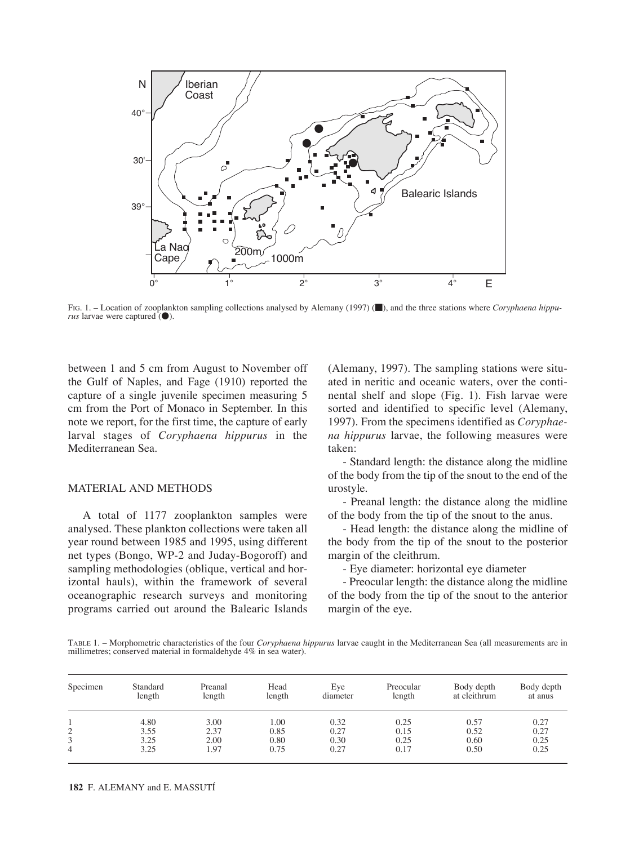

FIG. 1. – Location of zooplankton sampling collections analysed by Alemany (1997) (and the three stations where *Coryphaena hippurus* larvae were captured ( $\bullet$ ).

between 1 and 5 cm from August to November off the Gulf of Naples, and Fage (1910) reported the capture of a single juvenile specimen measuring 5 cm from the Port of Monaco in September. In this note we report, for the first time, the capture of early larval stages of *Coryphaena hippurus* in the Mediterranean Sea.

## MATERIAL AND METHODS

A total of 1177 zooplankton samples were analysed. These plankton collections were taken all year round between 1985 and 1995, using different net types (Bongo, WP-2 and Juday-Bogoroff) and sampling methodologies (oblique, vertical and horizontal hauls), within the framework of several oceanographic research surveys and monitoring programs carried out around the Balearic Islands (Alemany, 1997). The sampling stations were situated in neritic and oceanic waters, over the continental shelf and slope (Fig. 1). Fish larvae were sorted and identified to specific level (Alemany, 1997). From the specimens identified as *Coryphaena hippurus* larvae, the following measures were taken:

- Standard length: the distance along the midline of the body from the tip of the snout to the end of the urostyle.

- Preanal length: the distance along the midline of the body from the tip of the snout to the anus.

- Head length: the distance along the midline of the body from the tip of the snout to the posterior margin of the cleithrum.

- Eye diameter: horizontal eye diameter

- Preocular length: the distance along the midline of the body from the tip of the snout to the anterior margin of the eye.

TABLE 1. – Morphometric characteristics of the four *Coryphaena hippurus* larvae caught in the Mediterranean Sea (all measurements are in millimetres; conserved material in formaldehyde 4% in sea water).

| Specimen | Standard<br>length | Preanal<br>length | Head<br>length | Eye<br>diameter | Preocular<br>length | Body depth<br>at cleithrum | Body depth<br>at anus |
|----------|--------------------|-------------------|----------------|-----------------|---------------------|----------------------------|-----------------------|
|          | 4.80               | 3.00              | 0.00           | 0.32            | 0.25                | 0.57                       | 0.27                  |
| 2        | 3.55               | 2.37              | 0.85           | 0.27            | 0.15                | 0.52                       | 0.27                  |
| 3        | 3.25               | 2.00              | 0.80           | 0.30            | 0.25                | 0.60                       | 0.25                  |
| 4        | 3.25               | 1.97              | 0.75           | 0.27            | 0.17                | 0.50                       | 0.25                  |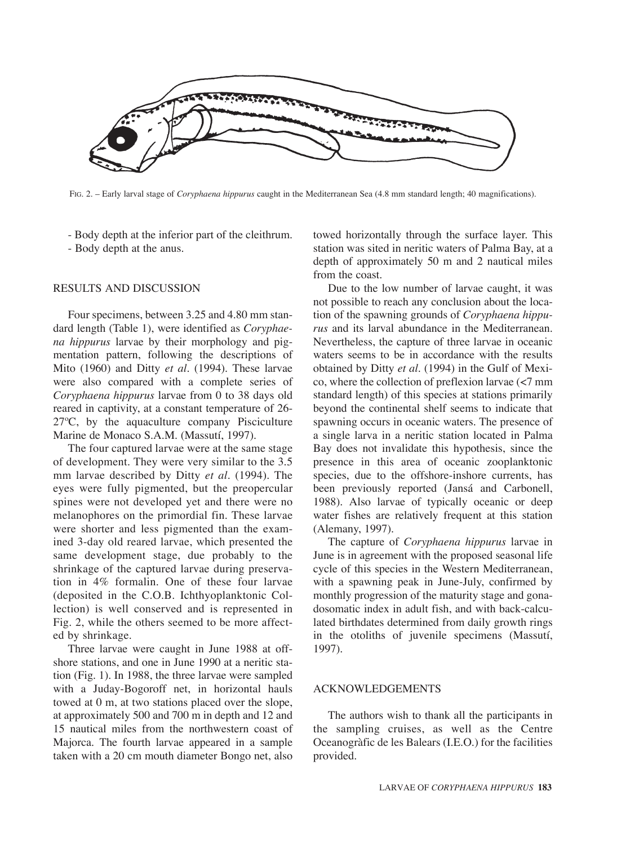

FIG. 2. – Early larval stage of *Coryphaena hippurus* caught in the Mediterranean Sea (4.8 mm standard length; 40 magnifications).

- Body depth at the inferior part of the cleithrum.

- Body depth at the anus.

## RESULTS AND DISCUSSION

Four specimens, between 3.25 and 4.80 mm standard length (Table 1), were identified as *Coryphaena hippurus* larvae by their morphology and pigmentation pattern, following the descriptions of Mito (1960) and Ditty *et al.* (1994). These larvae were also compared with a complete series of *Coryphaena hippurus* larvae from 0 to 38 days old reared in captivity, at a constant temperature of 26- 27ºC, by the aquaculture company Pisciculture Marine de Monaco S.A.M. (Massutí, 1997).

The four captured larvae were at the same stage of development. They were very similar to the 3.5 mm larvae described by Ditty *et al.* (1994). The eyes were fully pigmented, but the preopercular spines were not developed yet and there were no melanophores on the primordial fin. These larvae were shorter and less pigmented than the examined 3-day old reared larvae, which presented the same development stage, due probably to the shrinkage of the captured larvae during preservation in 4% formalin. One of these four larvae (deposited in the C.O.B. Ichthyoplanktonic Collection) is well conserved and is represented in Fig. 2, while the others seemed to be more affected by shrinkage.

Three larvae were caught in June 1988 at offshore stations, and one in June 1990 at a neritic station (Fig. 1). In 1988, the three larvae were sampled with a Juday-Bogoroff net, in horizontal hauls towed at 0 m, at two stations placed over the slope, at approximately 500 and 700 m in depth and 12 and 15 nautical miles from the northwestern coast of Majorca. The fourth larvae appeared in a sample taken with a 20 cm mouth diameter Bongo net, also towed horizontally through the surface layer. This station was sited in neritic waters of Palma Bay, at a depth of approximately 50 m and 2 nautical miles from the coast.

Due to the low number of larvae caught, it was not possible to reach any conclusion about the location of the spawning grounds of *Coryphaena hippurus* and its larval abundance in the Mediterranean. Nevertheless, the capture of three larvae in oceanic waters seems to be in accordance with the results obtained by Ditty *et al.* (1994) in the Gulf of Mexico, where the collection of preflexion larvae (<7 mm standard length) of this species at stations primarily beyond the continental shelf seems to indicate that spawning occurs in oceanic waters. The presence of a single larva in a neritic station located in Palma Bay does not invalidate this hypothesis, since the presence in this area of oceanic zooplanktonic species, due to the offshore-inshore currents, has been previously reported (Jansá and Carbonell, 1988). Also larvae of typically oceanic or deep water fishes are relatively frequent at this station (Alemany, 1997).

The capture of *Coryphaena hippurus* larvae in June is in agreement with the proposed seasonal life cycle of this species in the Western Mediterranean, with a spawning peak in June-July, confirmed by monthly progression of the maturity stage and gonadosomatic index in adult fish, and with back-calculated birthdates determined from daily growth rings in the otoliths of juvenile specimens (Massutí, 1997).

## ACKNOWLEDGEMENTS

The authors wish to thank all the participants in the sampling cruises, as well as the Centre Oceanogràfic de les Balears (I.E.O.) for the facilities provided.